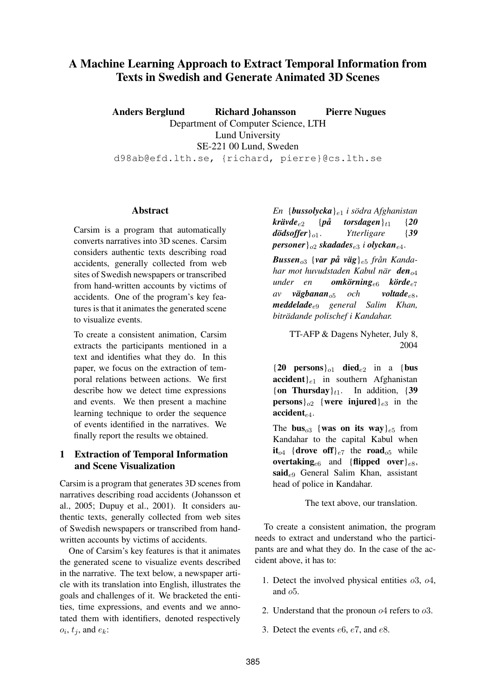# **A Machine Learning Approach to Extract Temporal Information from Texts in Swedish and Generate Animated 3D Scenes**

**Anders Berglund Richard Johansson Pierre Nugues** Department of Computer Science, LTH Lund University SE-221 00 Lund, Sweden d98ab@efd.lth.se, {richard, pierre}@cs.lth.se

#### **Abstract**

Carsim is a program that automatically converts narratives into 3D scenes. Carsim considers authentic texts describing road accidents, generally collected from web sites of Swedish newspapers or transcribed from hand-written accounts by victims of accidents. One of the program's key features is that it animates the generated scene to visualize events.

To create a consistent animation, Carsim extracts the participants mentioned in a text and identifies what they do. In this paper, we focus on the extraction of temporal relations between actions. We first describe how we detect time expressions and events. We then present a machine learning technique to order the sequence of events identified in the narratives. We finally report the results we obtained.

## **1 Extraction of Temporal Information and Scene Visualization**

Carsim is a program that generates 3D scenes from narratives describing road accidents (Johansson et al., 2005; Dupuy et al., 2001). It considers authentic texts, generally collected from web sites of Swedish newspapers or transcribed from handwritten accounts by victims of accidents.

One of Carsim's key features is that it animates the generated scene to visualize events described in the narrative. The text below, a newspaper article with its translation into English, illustrates the goals and challenges of it. We bracketed the entities, time expressions, and events and we annotated them with identifiers, denoted respectively  $o_i$ ,  $t_j$ , and  $e_k$ :

*En* {*bussolycka*}e<sup>1</sup> *i södra Afghanistan*  $k$ *rävde*<sub>e2</sub> {*på torsdagen*}<sub>t1</sub> {20} *dödsoffer*}o1. *Ytterligare* {*39 personer*}o<sup>2</sup> *skadades*e<sup>3</sup> *i olyckan*e4.

*Bussen*<sub>03</sub> {var på väg}<sub>e5</sub> *från Kandahar mot huvudstaden Kabul när den*<sub>04</sub> *under en omkörning*e<sup>6</sup> *körde*e<sup>7</sup> *av vägbanan*o<sup>5</sup> *och voltade*e8, *meddelade*e<sup>9</sup> *general Salim Khan, biträdande polischef i Kandahar.*

> TT-AFP & Dagens Nyheter, July 8, 2004

 ${20$  **persons** $_{o1}$  **died** $_{e2}$  in a {**bus**  $accident$ <sub>e1</sub> in southern Afghanistan { $on$  **Thursday**} $_{t1}$ . In addition, {39} **persons** $\big\{o_2$  {**were injured**} $e_3$  in the  $accident_{e4}$ .

The **bus**<sub>03</sub> {**was on its way**} $_{e5}$  from Kandahar to the capital Kabul when  $it_{o4}$  {drove off}<sub>e7</sub> the road<sub> $o5$ </sub> while **overtaking**<sub>e6</sub> and {**flipped over**} $_{e8}$ , **said**e<sup>9</sup> General Salim Khan, assistant head of police in Kandahar.

The text above, our translation.

To create a consistent animation, the program needs to extract and understand who the participants are and what they do. In the case of the accident above, it has to:

- 1. Detect the involved physical entities  $\sigma$ 3,  $\sigma$ 4, and  $o5$ .
- 2. Understand that the pronoun o4 refers to o3.
- 3. Detect the events e6, e7, and e8.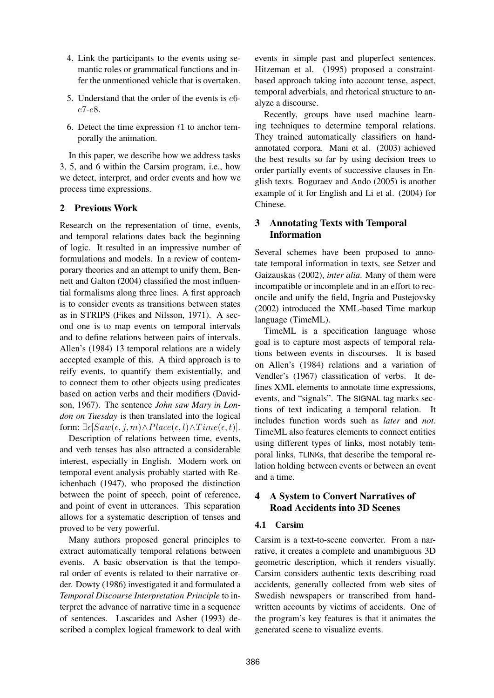- 4. Link the participants to the events using semantic roles or grammatical functions and infer the unmentioned vehicle that is overtaken.
- 5. Understand that the order of the events is e6 e7-e8.
- 6. Detect the time expression  $t_1$  to anchor temporally the animation.

In this paper, we describe how we address tasks 3, 5, and 6 within the Carsim program, i.e., how we detect, interpret, and order events and how we process time expressions.

## **2 Previous Work**

Research on the representation of time, events, and temporal relations dates back the beginning of logic. It resulted in an impressive number of formulations and models. In a review of contemporary theories and an attempt to unify them, Bennett and Galton (2004) classified the most influential formalisms along three lines. A first approach is to consider events as transitions between states as in STRIPS (Fikes and Nilsson, 1971). A second one is to map events on temporal intervals and to define relations between pairs of intervals. Allen's (1984) 13 temporal relations are a widely accepted example of this. A third approach is to reify events, to quantify them existentially, and to connect them to other objects using predicates based on action verbs and their modifiers (Davidson, 1967). The sentence *John saw Mary in London on Tuesday* is then translated into the logical form:  $\exists \epsilon [Saw(\epsilon, j, m) \wedge Place(\epsilon, l) \wedge Time(\epsilon, t)].$ 

Description of relations between time, events, and verb tenses has also attracted a considerable interest, especially in English. Modern work on temporal event analysis probably started with Reichenbach (1947), who proposed the distinction between the point of speech, point of reference, and point of event in utterances. This separation allows for a systematic description of tenses and proved to be very powerful.

Many authors proposed general principles to extract automatically temporal relations between events. A basic observation is that the temporal order of events is related to their narrative order. Dowty (1986) investigated it and formulated a *Temporal Discourse Interpretation Principle* to interpret the advance of narrative time in a sequence of sentences. Lascarides and Asher (1993) described a complex logical framework to deal with events in simple past and pluperfect sentences. Hitzeman et al. (1995) proposed a constraintbased approach taking into account tense, aspect, temporal adverbials, and rhetorical structure to analyze a discourse.

Recently, groups have used machine learning techniques to determine temporal relations. They trained automatically classifiers on handannotated corpora. Mani et al. (2003) achieved the best results so far by using decision trees to order partially events of successive clauses in English texts. Boguraev and Ando (2005) is another example of it for English and Li et al. (2004) for Chinese.

### **3 Annotating Texts with Temporal Information**

Several schemes have been proposed to annotate temporal information in texts, see Setzer and Gaizauskas (2002), *inter alia*. Many of them were incompatible or incomplete and in an effort to reconcile and unify the field, Ingria and Pustejovsky (2002) introduced the XML-based Time markup language (TimeML).

TimeML is a specification language whose goal is to capture most aspects of temporal relations between events in discourses. It is based on Allen's (1984) relations and a variation of Vendler's (1967) classification of verbs. It defines XML elements to annotate time expressions, events, and "signals". The SIGNAL tag marks sections of text indicating a temporal relation. It includes function words such as *later* and *not*. TimeML also features elements to connect entities using different types of links, most notably temporal links, TLINKs, that describe the temporal relation holding between events or between an event and a time.

## **4 A System to Convert Narratives of Road Accidents into 3D Scenes**

### **4.1 Carsim**

Carsim is a text-to-scene converter. From a narrative, it creates a complete and unambiguous 3D geometric description, which it renders visually. Carsim considers authentic texts describing road accidents, generally collected from web sites of Swedish newspapers or transcribed from handwritten accounts by victims of accidents. One of the program's key features is that it animates the generated scene to visualize events.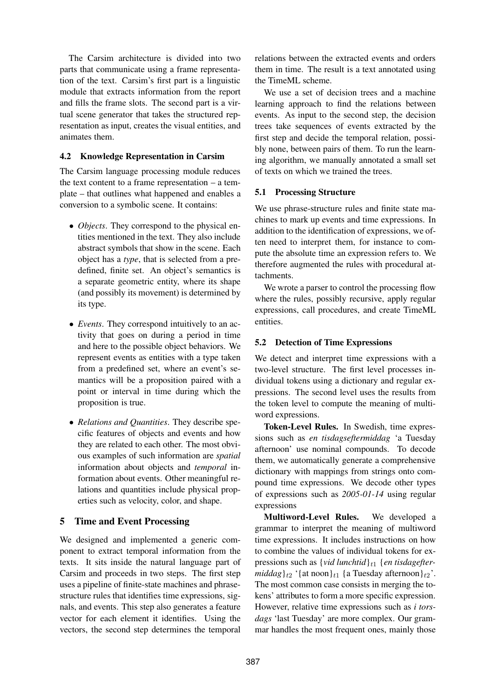The Carsim architecture is divided into two parts that communicate using a frame representation of the text. Carsim's first part is a linguistic module that extracts information from the report and fills the frame slots. The second part is a virtual scene generator that takes the structured representation as input, creates the visual entities, and animates them.

#### **4.2 Knowledge Representation in Carsim**

The Carsim language processing module reduces the text content to a frame representation – a template – that outlines what happened and enables a conversion to a symbolic scene. It contains:

- *Objects*. They correspond to the physical entities mentioned in the text. They also include abstract symbols that show in the scene. Each object has a *type*, that is selected from a predefined, finite set. An object's semantics is a separate geometric entity, where its shape (and possibly its movement) is determined by its type.
- *Events*. They correspond intuitively to an activity that goes on during a period in time and here to the possible object behaviors. We represent events as entities with a type taken from a predefined set, where an event's semantics will be a proposition paired with a point or interval in time during which the proposition is true.
- *Relations and Quantities*. They describe specific features of objects and events and how they are related to each other. The most obvious examples of such information are *spatial* information about objects and *temporal* information about events. Other meaningful relations and quantities include physical properties such as velocity, color, and shape.

## **5 Time and Event Processing**

We designed and implemented a generic component to extract temporal information from the texts. It sits inside the natural language part of Carsim and proceeds in two steps. The first step uses a pipeline of finite-state machines and phrasestructure rules that identifies time expressions, signals, and events. This step also generates a feature vector for each element it identifies. Using the vectors, the second step determines the temporal

relations between the extracted events and orders them in time. The result is a text annotated using the TimeML scheme.

We use a set of decision trees and a machine learning approach to find the relations between events. As input to the second step, the decision trees take sequences of events extracted by the first step and decide the temporal relation, possibly none, between pairs of them. To run the learning algorithm, we manually annotated a small set of texts on which we trained the trees.

### **5.1 Processing Structure**

We use phrase-structure rules and finite state machines to mark up events and time expressions. In addition to the identification of expressions, we often need to interpret them, for instance to compute the absolute time an expression refers to. We therefore augmented the rules with procedural attachments.

We wrote a parser to control the processing flow where the rules, possibly recursive, apply regular expressions, call procedures, and create TimeML entities.

### **5.2 Detection of Time Expressions**

We detect and interpret time expressions with a two-level structure. The first level processes individual tokens using a dictionary and regular expressions. The second level uses the results from the token level to compute the meaning of multiword expressions.

**Token-Level Rules.** In Swedish, time expressions such as *en tisdagseftermiddag* 'a Tuesday afternoon' use nominal compounds. To decode them, we automatically generate a comprehensive dictionary with mappings from strings onto compound time expressions. We decode other types of expressions such as *2005-01-14* using regular expressions

**Multiword-Level Rules.** We developed a grammar to interpret the meaning of multiword time expressions. It includes instructions on how to combine the values of individual tokens for expressions such as {*vid lunchtid*}<sub>t1</sub> {*en tisdageftermiddag*}<sub>t2</sub> '{at noon}<sub>t1</sub> {a Tuesday afternoon}<sub>t2</sub>'. The most common case consists in merging the tokens' attributes to form a more specific expression. However, relative time expressions such as *i torsdags* 'last Tuesday' are more complex. Our grammar handles the most frequent ones, mainly those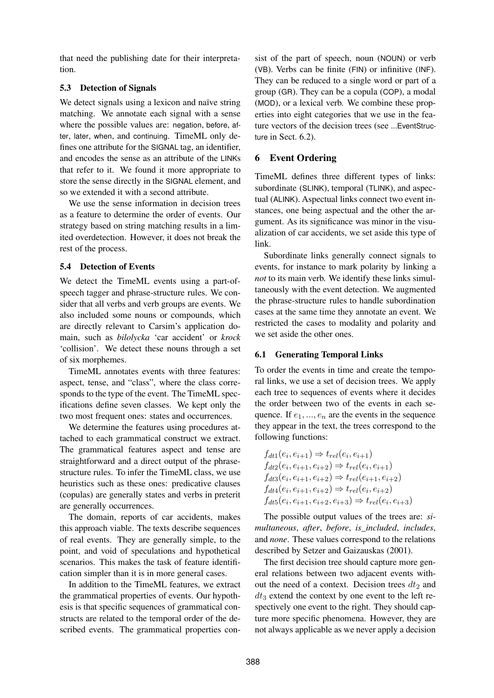that need the publishing date for their interpretation.

### **5.3 Detection of Signals**

We detect signals using a lexicon and naïve string matching. We annotate each signal with a sense where the possible values are: negation, before, after, later, when, and continuing. TimeML only defines one attribute for the SIGNAL tag, an identifier, and encodes the sense as an attribute of the LINKs that refer to it. We found it more appropriate to store the sense directly in the SIGNAL element, and so we extended it with a second attribute.

We use the sense information in decision trees as a feature to determine the order of events. Our strategy based on string matching results in a limited overdetection. However, it does not break the rest of the process.

#### **5.4 Detection of Events**

We detect the TimeML events using a part-ofspeech tagger and phrase-structure rules. We consider that all verbs and verb groups are events. We also included some nouns or compounds, which are directly relevant to Carsim's application domain, such as *bilolycka* 'car accident' or *krock* 'collision'. We detect these nouns through a set of six morphemes.

TimeML annotates events with three features: aspect, tense, and "class", where the class corresponds to the type of the event. The TimeML specifications define seven classes. We kept only the two most frequent ones: states and occurrences.

We determine the features using procedures attached to each grammatical construct we extract. The grammatical features aspect and tense are straightforward and a direct output of the phrasestructure rules. To infer the TimeML class, we use heuristics such as these ones: predicative clauses (copulas) are generally states and verbs in preterit are generally occurrences.

The domain, reports of car accidents, makes this approach viable. The texts describe sequences of real events. They are generally simple, to the point, and void of speculations and hypothetical scenarios. This makes the task of feature identification simpler than it is in more general cases.

In addition to the TimeML features, we extract the grammatical properties of events. Our hypothesis is that specific sequences of grammatical constructs are related to the temporal order of the described events. The grammatical properties consist of the part of speech, noun (NOUN) or verb (VB). Verbs can be finite (FIN) or infinitive (INF). They can be reduced to a single word or part of a group (GR). They can be a copula (COP), a modal (MOD), or a lexical verb. We combine these properties into eight categories that we use in the feature vectors of the decision trees (see ...EventStructure in Sect. 6.2).

### **6 Event Ordering**

TimeML defines three different types of links: subordinate (SLINK), temporal (TLINK), and aspectual (ALINK). Aspectual links connect two event instances, one being aspectual and the other the argument. As its significance was minor in the visualization of car accidents, we set aside this type of link.

Subordinate links generally connect signals to events, for instance to mark polarity by linking a *not* to its main verb. We identify these links simultaneously with the event detection. We augmented the phrase-structure rules to handle subordination cases at the same time they annotate an event. We restricted the cases to modality and polarity and we set aside the other ones.

### **6.1 Generating Temporal Links**

To order the events in time and create the temporal links, we use a set of decision trees. We apply each tree to sequences of events where it decides the order between two of the events in each sequence. If  $e_1, ..., e_n$  are the events in the sequence they appear in the text, the trees correspond to the following functions:

$$
f_{dt1}(e_i, e_{i+1}) \Rightarrow t_{rel}(e_i, e_{i+1})
$$
  
\n
$$
f_{dt2}(e_i, e_{i+1}, e_{i+2}) \Rightarrow t_{rel}(e_i, e_{i+1})
$$
  
\n
$$
f_{dt3}(e_i, e_{i+1}, e_{i+2}) \Rightarrow t_{rel}(e_{i+1}, e_{i+2})
$$
  
\n
$$
f_{dt4}(e_i, e_{i+1}, e_{i+2}) \Rightarrow t_{rel}(e_i, e_{i+2})
$$
  
\n
$$
f_{dt5}(e_i, e_{i+1}, e_{i+2}, e_{i+3}) \Rightarrow t_{rel}(e_i, e_{i+3})
$$

The possible output values of the trees are: *simultaneous*, *after*, *before*, *is\_included*, *includes*, and *none*. These values correspond to the relations described by Setzer and Gaizauskas (2001).

The first decision tree should capture more general relations between two adjacent events without the need of a context. Decision trees  $dt_2$  and  $dt_3$  extend the context by one event to the left respectively one event to the right. They should capture more specific phenomena. However, they are not always applicable as we never apply a decision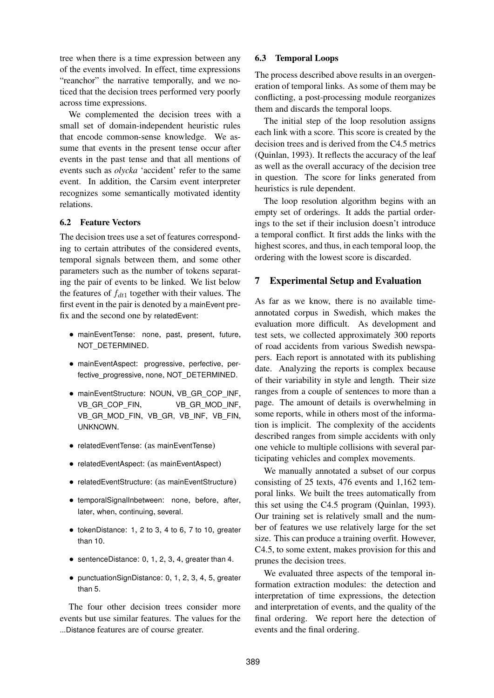tree when there is a time expression between any of the events involved. In effect, time expressions "reanchor" the narrative temporally, and we noticed that the decision trees performed very poorly across time expressions.

We complemented the decision trees with a small set of domain-independent heuristic rules that encode common-sense knowledge. We assume that events in the present tense occur after events in the past tense and that all mentions of events such as *olycka* 'accident' refer to the same event. In addition, the Carsim event interpreter recognizes some semantically motivated identity relations.

#### **6.2 Feature Vectors**

The decision trees use a set of features corresponding to certain attributes of the considered events, temporal signals between them, and some other parameters such as the number of tokens separating the pair of events to be linked. We list below the features of  $f_{dt1}$  together with their values. The first event in the pair is denoted by a mainEvent prefix and the second one by relatedEvent:

- mainEventTense: none, past, present, future, NOT\_DETERMINED.
- mainEventAspect: progressive, perfective, perfective\_progressive, none, NOT\_DETERMINED.
- mainEventStructure: NOUN, VB\_GR\_COP\_INF, VB\_GR\_COP\_FIN, VB\_GR\_MOD\_INF, VB\_GR\_MOD\_FIN, VB\_GR, VB\_INF, VB\_FIN, UNKNOWN.
- relatedEventTense: (as mainEventTense)
- relatedEventAspect: (as mainEventAspect)
- relatedEventStructure: (as mainEventStructure)
- temporalSignalInbetween: none, before, after, later, when, continuing, several.
- tokenDistance: 1, 2 to 3, 4 to 6, 7 to 10, greater than 10.
- sentenceDistance: 0, 1, 2, 3, 4, greater than 4.
- punctuationSignDistance: 0, 1, 2, 3, 4, 5, greater than 5.

The four other decision trees consider more events but use similar features. The values for the ...Distance features are of course greater.

#### **6.3 Temporal Loops**

The process described above results in an overgeneration of temporal links. As some of them may be conflicting, a post-processing module reorganizes them and discards the temporal loops.

The initial step of the loop resolution assigns each link with a score. This score is created by the decision trees and is derived from the C4.5 metrics (Quinlan, 1993). It reflects the accuracy of the leaf as well as the overall accuracy of the decision tree in question. The score for links generated from heuristics is rule dependent.

The loop resolution algorithm begins with an empty set of orderings. It adds the partial orderings to the set if their inclusion doesn't introduce a temporal conflict. It first adds the links with the highest scores, and thus, in each temporal loop, the ordering with the lowest score is discarded.

#### **7 Experimental Setup and Evaluation**

As far as we know, there is no available timeannotated corpus in Swedish, which makes the evaluation more difficult. As development and test sets, we collected approximately 300 reports of road accidents from various Swedish newspapers. Each report is annotated with its publishing date. Analyzing the reports is complex because of their variability in style and length. Their size ranges from a couple of sentences to more than a page. The amount of details is overwhelming in some reports, while in others most of the information is implicit. The complexity of the accidents described ranges from simple accidents with only one vehicle to multiple collisions with several participating vehicles and complex movements.

We manually annotated a subset of our corpus consisting of 25 texts, 476 events and 1,162 temporal links. We built the trees automatically from this set using the C4.5 program (Quinlan, 1993). Our training set is relatively small and the number of features we use relatively large for the set size. This can produce a training overfit. However, C4.5, to some extent, makes provision for this and prunes the decision trees.

We evaluated three aspects of the temporal information extraction modules: the detection and interpretation of time expressions, the detection and interpretation of events, and the quality of the final ordering. We report here the detection of events and the final ordering.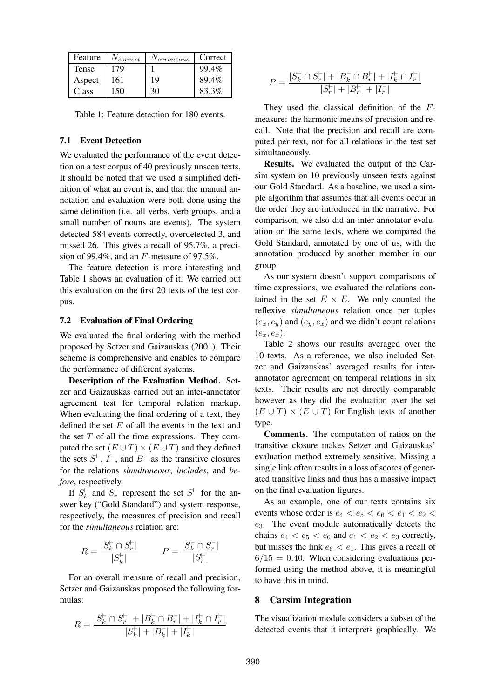| Feature | $N_{correct}$ | $N_{erroneous}$ | Correct |
|---------|---------------|-----------------|---------|
| Tense   | 179           |                 | 99.4%   |
| Aspect  | 161           | 19              | 89.4%   |
| Class   | 150           | 30              | 83.3%   |

Table 1: Feature detection for 180 events.

#### **7.1 Event Detection**

We evaluated the performance of the event detection on a test corpus of 40 previously unseen texts. It should be noted that we used a simplified definition of what an event is, and that the manual annotation and evaluation were both done using the same definition (i.e. all verbs, verb groups, and a small number of nouns are events). The system detected 584 events correctly, overdetected 3, and missed 26. This gives a recall of 95.7%, a precision of 99.4%, and an F-measure of 97.5%.

The feature detection is more interesting and Table 1 shows an evaluation of it. We carried out this evaluation on the first 20 texts of the test corpus.

#### **7.2 Evaluation of Final Ordering**

We evaluated the final ordering with the method proposed by Setzer and Gaizauskas (2001). Their scheme is comprehensive and enables to compare the performance of different systems.

**Description of the Evaluation Method.** Setzer and Gaizauskas carried out an inter-annotator agreement test for temporal relation markup. When evaluating the final ordering of a text, they defined the set  $E$  of all the events in the text and the set  $T$  of all the time expressions. They computed the set  $(E \cup T) \times (E \cup T)$  and they defined the sets  $S^{\dagger}$ ,  $I^{\dagger}$ , and  $B^{\dagger}$  as the transitive closures for the relations *simultaneous*, *includes*, and *before*, respectively.

If  $S_k^{\vdash}$  $\int_k^{\infty}$  and  $S_r^{\vdash}$  $r \nightharpoonup r$  represent the set  $S^{\vdash}$  for the answer key ("Gold Standard") and system response, respectively, the measures of precision and recall for the *simultaneous* relation are:

$$
R = \frac{|S_k^\vdash \cap S_r^\vdash|}{|S_k^\vdash|} \qquad \ \ P = \frac{|S_k^\vdash \cap S_r^\vdash|}{|S_r^\vdash|}
$$

For an overall measure of recall and precision, Setzer and Gaizauskas proposed the following formulas:

$$
R = \frac{|S_k^{\vdash} \cap S_r^{\vdash}| + |B_k^{\vdash} \cap B_r^{\vdash}| + |I_k^{\vdash} \cap I_r^{\vdash}|}{|S_k^{\vdash}| + |B_k^{\vdash}| + |I_k^{\vdash}|}
$$

$$
P = \frac{|S^{\vdash}_k \cap S^{\vdash}_r| + |B^{\vdash}_k \cap B^{\vdash}_r| + |I^{\vdash}_k \cap I^{\vdash}_r|}{|S^{\vdash}_r| + |B^{\vdash}_r| + |I^{\vdash}_r|}
$$

They used the classical definition of the Fmeasure: the harmonic means of precision and recall. Note that the precision and recall are computed per text, not for all relations in the test set simultaneously.

**Results.** We evaluated the output of the Carsim system on 10 previously unseen texts against our Gold Standard. As a baseline, we used a simple algorithm that assumes that all events occur in the order they are introduced in the narrative. For comparison, we also did an inter-annotator evaluation on the same texts, where we compared the Gold Standard, annotated by one of us, with the annotation produced by another member in our group.

As our system doesn't support comparisons of time expressions, we evaluated the relations contained in the set  $E \times E$ . We only counted the reflexive *simultaneous* relation once per tuples  $(e_x, e_y)$  and  $(e_y, e_x)$  and we didn't count relations  $(e_r, e_r)$ .

Table 2 shows our results averaged over the 10 texts. As a reference, we also included Setzer and Gaizauskas' averaged results for interannotator agreement on temporal relations in six texts. Their results are not directly comparable however as they did the evaluation over the set  $(E \cup T) \times (E \cup T)$  for English texts of another type.

**Comments.** The computation of ratios on the transitive closure makes Setzer and Gaizauskas' evaluation method extremely sensitive. Missing a single link often results in a loss of scores of generated transitive links and thus has a massive impact on the final evaluation figures.

As an example, one of our texts contains six events whose order is  $e_4 < e_5 < e_6 < e_1 < e_2 <$  $e_3$ . The event module automatically detects the chains  $e_4 < e_5 < e_6$  and  $e_1 < e_2 < e_3$  correctly, but misses the link  $e_6 < e_1$ . This gives a recall of  $6/15 = 0.40$ . When considering evaluations performed using the method above, it is meaningful to have this in mind.

#### **8 Carsim Integration**

The visualization module considers a subset of the detected events that it interprets graphically. We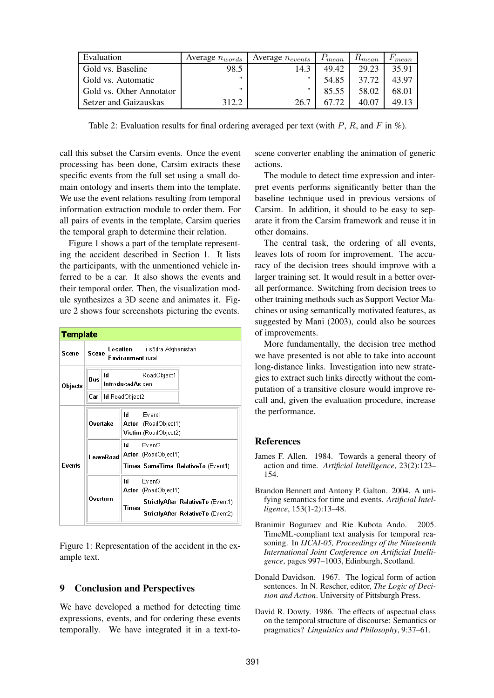| Evaluation               | Average $n_{words}$ | Average $n_{events}$ | $P_{mean}$ | $R_{mean}$ | $\lceil mean \rceil$ |
|--------------------------|---------------------|----------------------|------------|------------|----------------------|
| Gold vs. Baseline        | 98.5                | 14.3                 | 49.42      | 29.23      | 35.91                |
| Gold vs. Automatic       |                     | ,,                   | 54.85      | 37.72      | 43.97                |
| Gold vs. Other Annotator | "                   | "                    | 85.55      | 58.02      | 68.01                |
| Setzer and Gaizauskas    | 312.2               | 26.7                 | 67.72      | 40.07      | 49.13                |

Table 2: Evaluation results for final ordering averaged per text (with  $P$ ,  $R$ , and  $F$  in %).

call this subset the Carsim events. Once the event processing has been done, Carsim extracts these specific events from the full set using a small domain ontology and inserts them into the template. We use the event relations resulting from temporal information extraction module to order them. For all pairs of events in the template, Carsim queries the temporal graph to determine their relation.

Figure 1 shows a part of the template representing the accident described in Section 1. It lists the participants, with the unmentioned vehicle inferred to be a car. It also shows the events and their temporal order. Then, the visualization module synthesizes a 3D scene and animates it. Figure 2 shows four screenshots picturing the events.

| Template      |                                                                   |                        |       |                                                                        |  |  |
|---------------|-------------------------------------------------------------------|------------------------|-------|------------------------------------------------------------------------|--|--|
| Scene         | Location i södra Afghanistan<br>Scene<br><b>Environment</b> rural |                        |       |                                                                        |  |  |
| Objects       | Bus                                                               | Id<br>IntroducedAs den |       | RoadObject1                                                            |  |  |
|               | Car  <br>  Id RoadObject2                                         |                        |       |                                                                        |  |  |
| <b>Fvents</b> | łd<br>Overtake                                                    |                        |       | Event1<br>Actor (RoadObject1)<br><b>Victim</b> (RoadObject2)           |  |  |
|               | LeaveRoad                                                         |                        | łd    | Event2<br>Actor (RoadObject1)                                          |  |  |
|               | Overturn                                                          |                        | ы     | Times SameTime RelativeTo (Event1)<br>Event3                           |  |  |
|               |                                                                   |                        |       | Actor (RoadObject1)                                                    |  |  |
|               |                                                                   |                        | Times | StrictlyAfter RelativeTo (Event1)<br>StrictlyAfter RelativeTo (Event2) |  |  |

Figure 1: Representation of the accident in the example text.

### **9 Conclusion and Perspectives**

We have developed a method for detecting time expressions, events, and for ordering these events temporally. We have integrated it in a text-toscene converter enabling the animation of generic actions.

The module to detect time expression and interpret events performs significantly better than the baseline technique used in previous versions of Carsim. In addition, it should to be easy to separate it from the Carsim framework and reuse it in other domains.

The central task, the ordering of all events, leaves lots of room for improvement. The accuracy of the decision trees should improve with a larger training set. It would result in a better overall performance. Switching from decision trees to other training methods such as Support Vector Machines or using semantically motivated features, as suggested by Mani (2003), could also be sources of improvements.

More fundamentally, the decision tree method we have presented is not able to take into account long-distance links. Investigation into new strategies to extract such links directly without the computation of a transitive closure would improve recall and, given the evaluation procedure, increase the performance.

### **References**

- James F. Allen. 1984. Towards a general theory of action and time. *Artificial Intelligence*, 23(2):123– 154.
- Brandon Bennett and Antony P. Galton. 2004. A unifying semantics for time and events. *Artificial Intelligence*, 153(1-2):13–48.
- Branimir Boguraev and Rie Kubota Ando. 2005. TimeML-compliant text analysis for temporal reasoning. In *IJCAI-05, Proceedings of the Nineteenth International Joint Conference on Artificial Intelligence*, pages 997–1003, Edinburgh, Scotland.
- Donald Davidson. 1967. The logical form of action sentences. In N. Rescher, editor, *The Logic of Decision and Action*. University of Pittsburgh Press.
- David R. Dowty. 1986. The effects of aspectual class on the temporal structure of discourse: Semantics or pragmatics? *Linguistics and Philosophy*, 9:37–61.